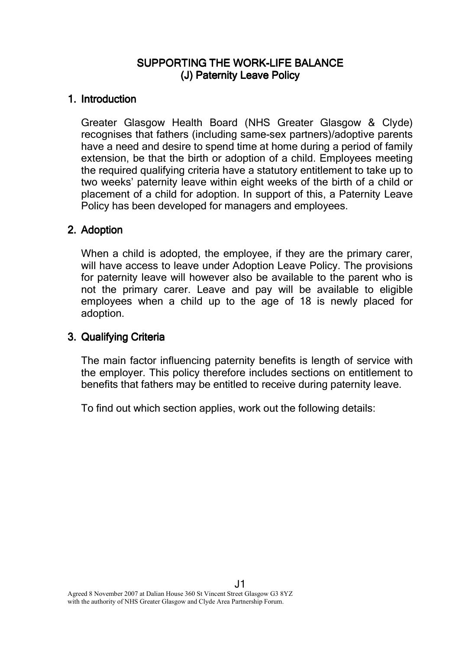## SUPPORTING THE WORK-LIFE BALANCE (J) Paternity Leave Policy

### 1. Introduction

Greater Glasgow Health Board (NHS Greater Glasgow & Clyde) recognises that fathers (including same-sex partners)/adoptive parents have a need and desire to spend time at home during a period of family extension, be that the birth or adoption of a child. Employees meeting the required qualifying criteria have a statutory entitlement to take up to two weeks' paternity leave within eight weeks of the birth of a child or placement of a child for adoption. In support of this, a Paternity Leave Policy has been developed for managers and employees.

## 2. Adoption

When a child is adopted, the employee, if they are the primary carer, will have access to leave under Adoption Leave Policy. The provisions for paternity leave will however also be available to the parent who is not the primary carer. Leave and pay will be available to eligible employees when a child up to the age of 18 is newly placed for adoption.

# 3. Qualifying Criteria

The main factor influencing paternity benefits is length of service with the employer. This policy therefore includes sections on entitlement to benefits that fathers may be entitled to receive during paternity leave.

To find out which section applies, work out the following details: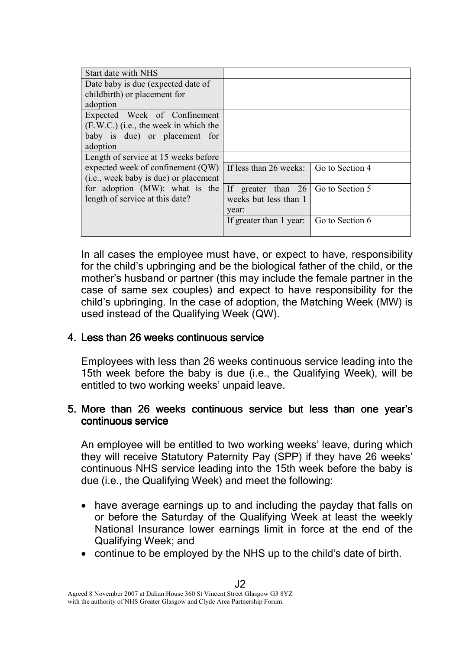| Start date with NHS                   |                                           |                 |
|---------------------------------------|-------------------------------------------|-----------------|
| Date baby is due (expected date of    |                                           |                 |
| childbirth) or placement for          |                                           |                 |
| adoption                              |                                           |                 |
| Expected Week of Confinement          |                                           |                 |
| (E.W.C.) (i.e., the week in which the |                                           |                 |
| baby is due) or placement for         |                                           |                 |
| adoption                              |                                           |                 |
| Length of service at 15 weeks before  |                                           |                 |
| expected week of confinement $(QW)$   | If less than 26 weeks: Go to Section 4    |                 |
| (i.e., week baby is due) or placement |                                           |                 |
| for adoption (MW): what is the        | If greater than $26 \mid$ Go to Section 5 |                 |
| length of service at this date?       | weeks but less than 1                     |                 |
|                                       | year:                                     |                 |
|                                       | If greater than 1 year:                   | Go to Section 6 |
|                                       |                                           |                 |

In all cases the employee must have, or expect to have, responsibility for the child's upbringing and be the biological father of the child, or the mother's husband or partner (this may include the female partner in the case of same sex couples) and expect to have responsibility for the child's upbringing. In the case of adoption, the Matching Week (MW) is used instead of the Qualifying Week (QW).

### 4. Less than 26 weeks continuous service

Employees with less than 26 weeks continuous service leading into the 15th week before the baby is due (i.e., the Qualifying Week), will be entitled to two working weeks' unpaid leave.

## 5. More than 26 weeks continuous service but less than one year's continuous service

An employee will be entitled to two working weeks' leave, during which they will receive Statutory Paternity Pay (SPP) if they have 26 weeks' continuous NHS service leading into the 15th week before the baby is due (i.e., the Qualifying Week) and meet the following:

- have average earnings up to and including the payday that falls on or before the Saturday of the Qualifying Week at least the weekly National Insurance lower earnings limit in force at the end of the Qualifying Week; and
- continue to be employed by the NHS up to the child's date of birth.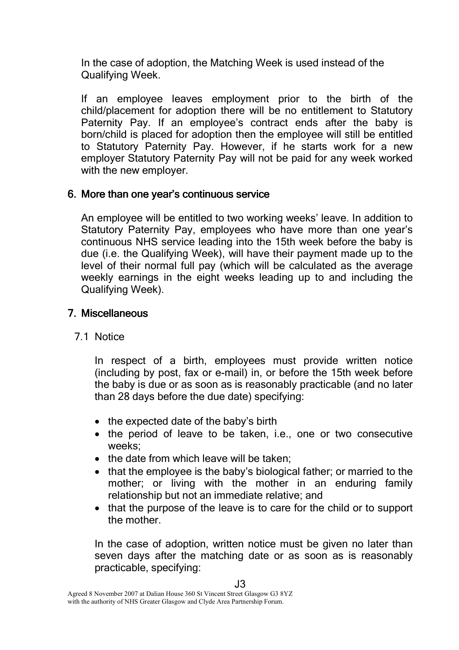In the case of adoption, the Matching Week is used instead of the Qualifying Week.

If an employee leaves employment prior to the birth of the child/placement for adoption there will be no entitlement to Statutory Paternity Pay. If an employee's contract ends after the baby is born/child is placed for adoption then the employee will still be entitled to Statutory Paternity Pay. However, if he starts work for a new employer Statutory Paternity Pay will not be paid for any week worked with the new employer.

### 6. More than one year's continuous service

An employee will be entitled to two working weeks' leave. In addition to Statutory Paternity Pay, employees who have more than one year's continuous NHS service leading into the 15th week before the baby is due (i.e. the Qualifying Week), will have their payment made up to the level of their normal full pay (which will be calculated as the average weekly earnings in the eight weeks leading up to and including the Qualifying Week).

## 7. Miscellaneous

### 7.1 Notice

In respect of a birth, employees must provide written notice (including by post, fax or e-mail) in, or before the 15th week before the baby is due or as soon as is reasonably practicable (and no later than 28 days before the due date) specifying:

- the expected date of the baby's birth
- the period of leave to be taken, i.e., one or two consecutive weeks;
- the date from which leave will be taken;
- that the employee is the baby's biological father; or married to the mother; or living with the mother in an enduring family relationship but not an immediate relative; and
- that the purpose of the leave is to care for the child or to support the mother.

In the case of adoption, written notice must be given no later than seven days after the matching date or as soon as is reasonably practicable, specifying: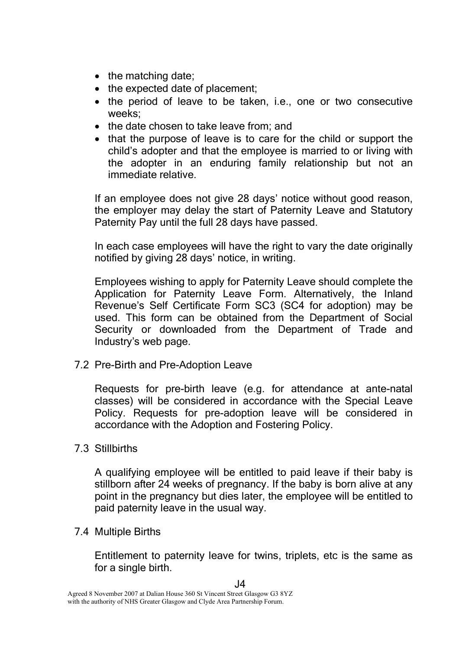- the matching date;
- the expected date of placement:
- the period of leave to be taken, i.e., one or two consecutive weeks;
- the date chosen to take leave from; and
- that the purpose of leave is to care for the child or support the child's adopter and that the employee is married to or living with the adopter in an enduring family relationship but not an immediate relative.

If an employee does not give 28 days' notice without good reason, the employer may delay the start of Paternity Leave and Statutory Paternity Pay until the full 28 days have passed.

In each case employees will have the right to vary the date originally notified by giving 28 days' notice, in writing.

Employees wishing to apply for Paternity Leave should complete the Application for Paternity Leave Form. Alternatively, the Inland Revenue's Self Certificate Form SC3 (SC4 for adoption) may be used. This form can be obtained from the Department of Social Security or downloaded from the Department of Trade and Industry's web page.

7.2 Pre-Birth and Pre-Adoption Leave

Requests for pre-birth leave (e.g. for attendance at ante-natal classes) will be considered in accordance with the Special Leave Policy. Requests for pre-adoption leave will be considered in accordance with the Adoption and Fostering Policy.

### 7.3 Stillbirths

A qualifying employee will be entitled to paid leave if their baby is stillborn after 24 weeks of pregnancy. If the baby is born alive at any point in the pregnancy but dies later, the employee will be entitled to paid paternity leave in the usual way.

### 7.4 Multiple Births

Entitlement to paternity leave for twins, triplets, etc is the same as for a single birth.